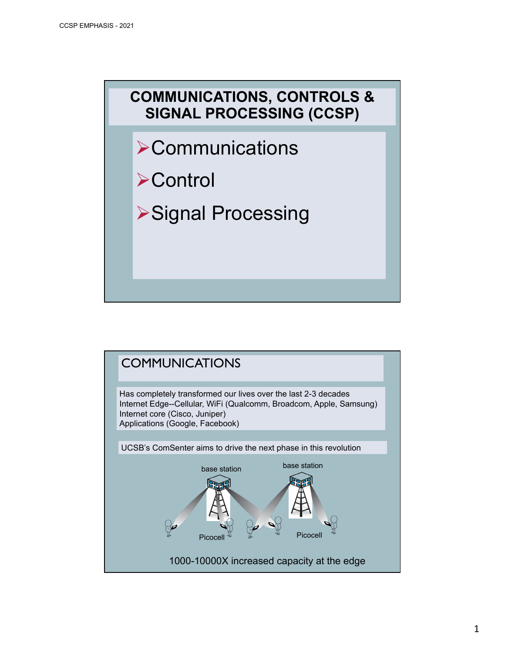

- $\triangleright$  Communications
- **≻Control**
- ØSignal Processing

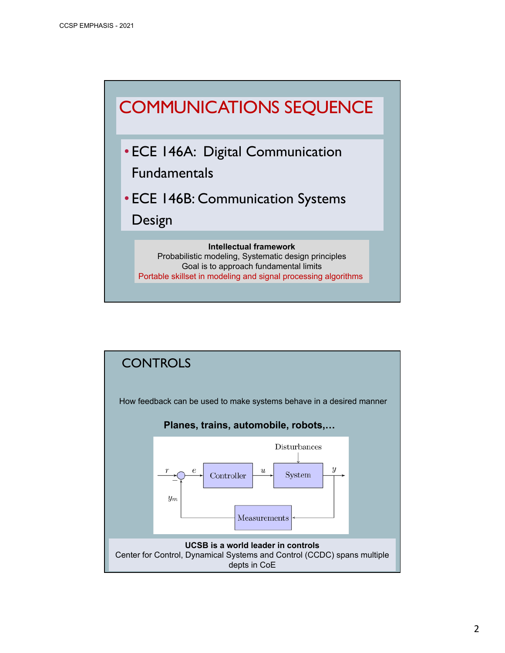

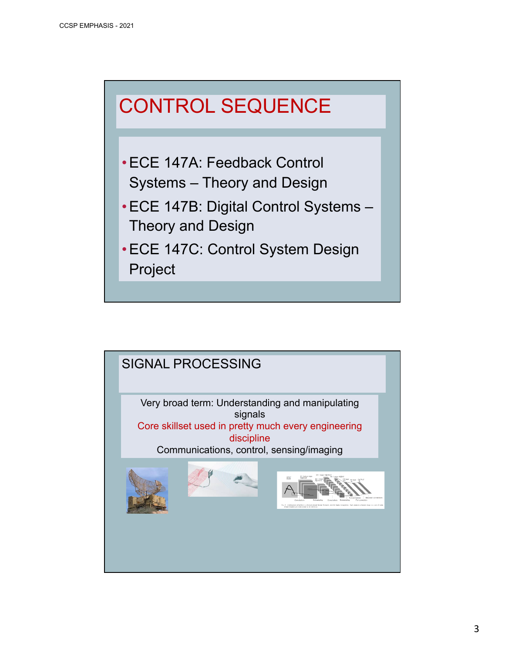## CONTROL SEQUENCE

- •ECE 147A: Feedback Control Systems – Theory and Design
- •ECE 147B: Digital Control Systems Theory and Design
- •ECE 147C: Control System Design Project

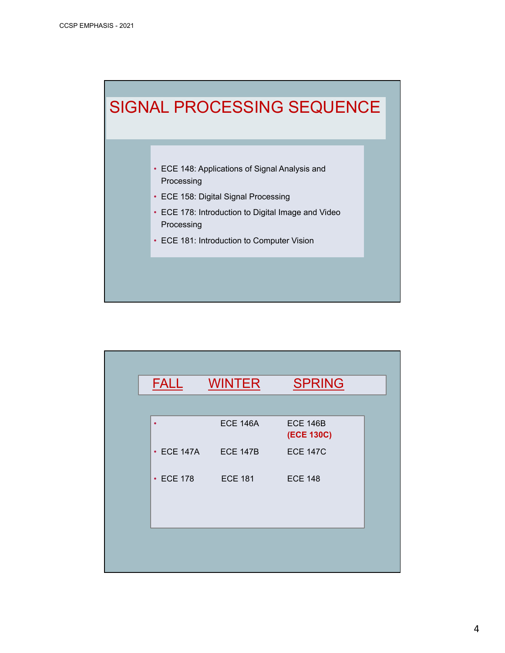

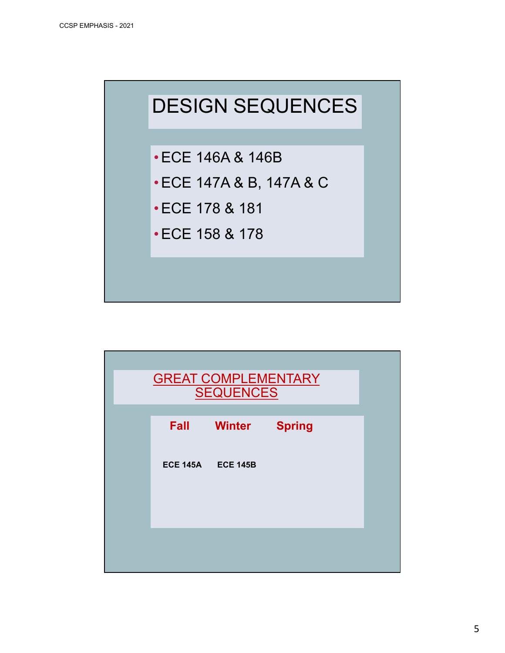